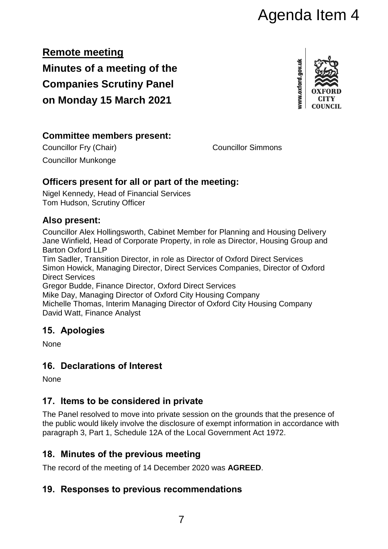# Agenda Item 4

**Remote meeting Minutes of a meeting of the Companies Scrutiny Panel on Monday 15 March 2021**



#### **Committee members present:**

Councillor Fry (Chair) Councillor Simmons

Councillor Munkonge

## **Officers present for all or part of the meeting:**

Nigel Kennedy, Head of Financial Services Tom Hudson, Scrutiny Officer

## **Also present:**

Councillor Alex Hollingsworth, Cabinet Member for Planning and Housing Delivery Jane Winfield, Head of Corporate Property, in role as Director, Housing Group and Barton Oxford LLP

Tim Sadler, Transition Director, in role as Director of Oxford Direct Services Simon Howick, Managing Director, Direct Services Companies, Director of Oxford Direct Services

Gregor Budde, Finance Director, Oxford Direct Services

Mike Day, Managing Director of Oxford City Housing Company Michelle Thomas, Interim Managing Director of Oxford City Housing Company David Watt, Finance Analyst

# **15. Apologies**

None

# **16. Declarations of Interest**

None

# **17. Items to be considered in private**

The Panel resolved to move into private session on the grounds that the presence of the public would likely involve the disclosure of exempt information in accordance with paragraph 3, Part 1, Schedule 12A of the Local Government Act 1972.

# **18. Minutes of the previous meeting**

The record of the meeting of 14 December 2020 was **AGREED**.

## **19. Responses to previous recommendations**